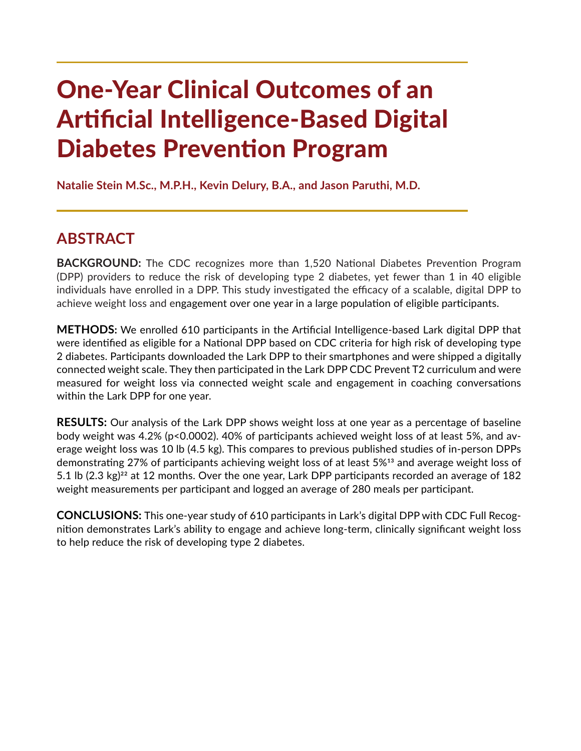# One-Year Clinical Outcomes of an Artificial Intelligence-Based Digital Diabetes Prevention Program

**Natalie Stein M.Sc., M.P.H., Kevin Delury, B.A., and Jason Paruthi, M.D.**

# **ABSTRACT**

**BACKGROUND:** The CDC recognizes more than 1,520 National Diabetes Prevention Program (DPP) providers to reduce the risk of developing type 2 diabetes, yet fewer than 1 in 40 eligible individuals have enrolled in a DPP. This study investigated the efficacy of a scalable, digital DPP to achieve weight loss and engagement over one year in a large population of eligible participants.

**METHODS:** We enrolled 610 participants in the Artificial Intelligence-based Lark digital DPP that were identified as eligible for a National DPP based on CDC criteria for high risk of developing type 2 diabetes. Participants downloaded the Lark DPP to their smartphones and were shipped a digitally connected weight scale. They then participated in the Lark DPP CDC Prevent T2 curriculum and were measured for weight loss via connected weight scale and engagement in coaching conversations within the Lark DPP for one year.

**RESULTS:** Our analysis of the Lark DPP shows weight loss at one year as a percentage of baseline body weight was 4.2% (p<0.0002). 40% of participants achieved weight loss of at least 5%, and average weight loss was 10 lb (4.5 kg). This compares to previous published studies of in-person DPPs demonstrating 27% of participants achieving weight loss of at least 5%13 and average weight loss of 5.1 lb  $(2.3 \text{ kg})^{22}$  at 12 months. Over the one year, Lark DPP participants recorded an average of 182 weight measurements per participant and logged an average of 280 meals per participant.

**CONCLUSIONS:** This one-year study of 610 participants in Lark's digital DPP with CDC Full Recognition demonstrates Lark's ability to engage and achieve long-term, clinically significant weight loss to help reduce the risk of developing type 2 diabetes.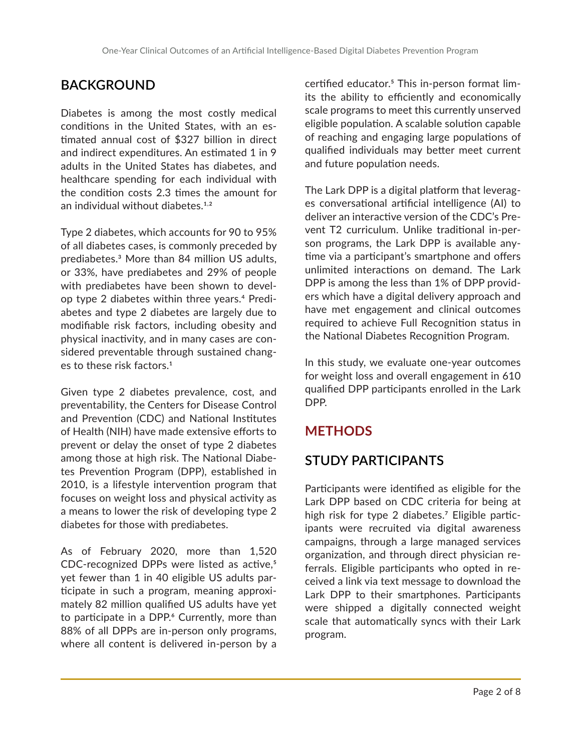# **BACKGROUND**

Diabetes is among the most costly medical conditions in the United States, with an estimated annual cost of \$327 billion in direct and indirect expenditures. An estimated 1 in 9 adults in the United States has diabetes, and healthcare spending for each individual with the condition costs 2.3 times the amount for an individual without diabetes.1,2

Type 2 diabetes, which accounts for 90 to 95% of all diabetes cases, is commonly preceded by prediabetes.3 More than 84 million US adults, or 33%, have prediabetes and 29% of people with prediabetes have been shown to develop type 2 diabetes within three years.4 Prediabetes and type 2 diabetes are largely due to modifiable risk factors, including obesity and physical inactivity, and in many cases are considered preventable through sustained changes to these risk factors.<sup>1</sup>

Given type 2 diabetes prevalence, cost, and preventability, the Centers for Disease Control and Prevention (CDC) and National Institutes of Health (NIH) have made extensive efforts to prevent or delay the onset of type 2 diabetes among those at high risk. The National Diabetes Prevention Program (DPP), established in 2010, is a lifestyle intervention program that focuses on weight loss and physical activity as a means to lower the risk of developing type 2 diabetes for those with prediabetes.

As of February 2020, more than 1,520 CDC-recognized DPPs were listed as active,<sup>5</sup> yet fewer than 1 in 40 eligible US adults participate in such a program, meaning approximately 82 million qualified US adults have yet to participate in a DPP.<sup>6</sup> Currently, more than 88% of all DPPs are in-person only programs, where all content is delivered in-person by a

certified educator.<sup>5</sup> This in-person format limits the ability to efficiently and economically scale programs to meet this currently unserved eligible population. A scalable solution capable of reaching and engaging large populations of qualified individuals may better meet current and future population needs.

The Lark DPP is a digital platform that leverages conversational artificial intelligence (AI) to deliver an interactive version of the CDC's Prevent T2 curriculum. Unlike traditional in-person programs, the Lark DPP is available anytime via a participant's smartphone and offers unlimited interactions on demand. The Lark DPP is among the less than 1% of DPP providers which have a digital delivery approach and have met engagement and clinical outcomes required to achieve Full Recognition status in the National Diabetes Recognition Program.

In this study, we evaluate one-year outcomes for weight loss and overall engagement in 610 qualified DPP participants enrolled in the Lark DPP.

## **METHODS**

# **STUDY PARTICIPANTS**

Participants were identified as eligible for the Lark DPP based on CDC criteria for being at high risk for type 2 diabetes.<sup>7</sup> Eligible participants were recruited via digital awareness campaigns, through a large managed services organization, and through direct physician referrals. Eligible participants who opted in received a link via text message to download the Lark DPP to their smartphones. Participants were shipped a digitally connected weight scale that automatically syncs with their Lark program.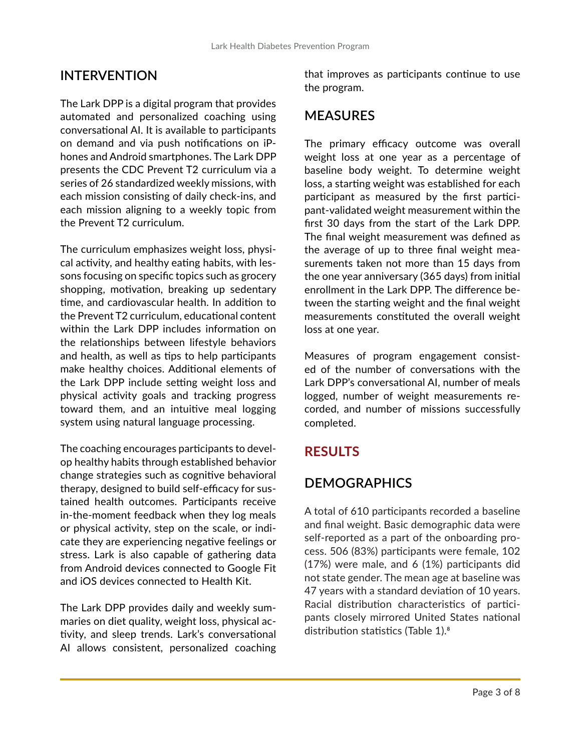#### **INTERVENTION**

The Lark DPP is a digital program that provides automated and personalized coaching using conversational AI. It is available to participants on demand and via push notifications on iPhones and Android smartphones. The Lark DPP presents the CDC Prevent T2 curriculum via a series of 26 standardized weekly missions, with each mission consisting of daily check-ins, and each mission aligning to a weekly topic from the Prevent T2 curriculum.

The curriculum emphasizes weight loss, physical activity, and healthy eating habits, with lessons focusing on specific topics such as grocery shopping, motivation, breaking up sedentary time, and cardiovascular health. In addition to the Prevent T2 curriculum, educational content within the Lark DPP includes information on the relationships between lifestyle behaviors and health, as well as tips to help participants make healthy choices. Additional elements of the Lark DPP include setting weight loss and physical activity goals and tracking progress toward them, and an intuitive meal logging system using natural language processing.

The coaching encourages participants to develop healthy habits through established behavior change strategies such as cognitive behavioral therapy, designed to build self-efficacy for sustained health outcomes. Participants receive in-the-moment feedback when they log meals or physical activity, step on the scale, or indicate they are experiencing negative feelings or stress. Lark is also capable of gathering data from Android devices connected to Google Fit and iOS devices connected to Health Kit.

The Lark DPP provides daily and weekly summaries on diet quality, weight loss, physical activity, and sleep trends. Lark's conversational AI allows consistent, personalized coaching that improves as participants continue to use the program.

#### **MEASURES**

The primary efficacy outcome was overall weight loss at one year as a percentage of baseline body weight. To determine weight loss, a starting weight was established for each participant as measured by the first participant-validated weight measurement within the first 30 days from the start of the Lark DPP. The final weight measurement was defined as the average of up to three final weight measurements taken not more than 15 days from the one year anniversary (365 days) from initial enrollment in the Lark DPP. The difference between the starting weight and the final weight measurements constituted the overall weight loss at one year.

Measures of program engagement consisted of the number of conversations with the Lark DPP's conversational AI, number of meals logged, number of weight measurements recorded, and number of missions successfully completed.

#### **RESULTS**

#### **DEMOGRAPHICS**

A total of 610 participants recorded a baseline and final weight. Basic demographic data were self-reported as a part of the onboarding process. 506 (83%) participants were female, 102 (17%) were male, and 6 (1%) participants did not state gender. The mean age at baseline was 47 years with a standard deviation of 10 years. Racial distribution characteristics of participants closely mirrored United States national distribution statistics (Table 1).8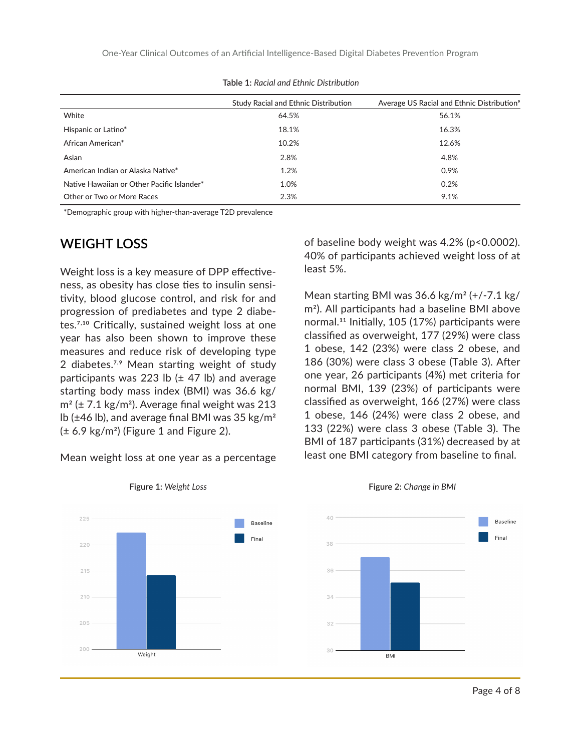One-Year Clinical Outcomes of an Artificial Intelligence-Based Digital Diabetes Prevention Program

|                                            | Study Racial and Ethnic Distribution | Average US Racial and Ethnic Distribution <sup>9</sup> |
|--------------------------------------------|--------------------------------------|--------------------------------------------------------|
| White                                      | 64.5%                                | 56.1%                                                  |
| Hispanic or Latino*                        | 18.1%                                | 16.3%                                                  |
| African American*                          | 10.2%                                | 12.6%                                                  |
| Asian                                      | 2.8%                                 | 4.8%                                                   |
| American Indian or Alaska Native*          | 1.2%                                 | 0.9%                                                   |
| Native Hawaiian or Other Pacific Islander* | 1.0%                                 | 0.2%                                                   |
| Other or Two or More Races                 | 2.3%                                 | 9.1%                                                   |

**Table 1:** *Racial and Ethnic Distribution*

\*Demographic group with higher-than-average T2D prevalence

#### **WEIGHT LOSS**

Weight loss is a key measure of DPP effectiveness, as obesity has close ties to insulin sensitivity, blood glucose control, and risk for and progression of prediabetes and type 2 diabetes.7,10 Critically, sustained weight loss at one year has also been shown to improve these measures and reduce risk of developing type 2 diabetes.<sup>7,9</sup> Mean starting weight of study participants was 223 lb  $(\pm 47)$  lb) and average starting body mass index (BMI) was 36.6 kg/  $m^2$  ( $\pm$  7.1 kg/m<sup>2</sup>). Average final weight was 213 lb ( $\pm$ 46 lb), and average final BMI was 35 kg/m<sup>2</sup>  $(\pm 6.9 \text{ kg/m}^2)$  (Figure 1 and Figure 2).

Mean weight loss at one year as a percentage

of baseline body weight was 4.2% (p<0.0002). 40% of participants achieved weight loss of at least 5%.

Mean starting BMI was  $36.6 \text{ kg/m}^2$  (+/-7.1 kg/ m2). All participants had a baseline BMI above normal.11 Initially, 105 (17%) participants were classified as overweight, 177 (29%) were class 1 obese, 142 (23%) were class 2 obese, and 186 (30%) were class 3 obese (Table 3). After one year, 26 participants (4%) met criteria for normal BMI, 139 (23%) of participants were classified as overweight, 166 (27%) were class 1 obese, 146 (24%) were class 2 obese, and 133 (22%) were class 3 obese (Table 3). The BMI of 187 participants (31%) decreased by at least one BMI category from baseline to final.





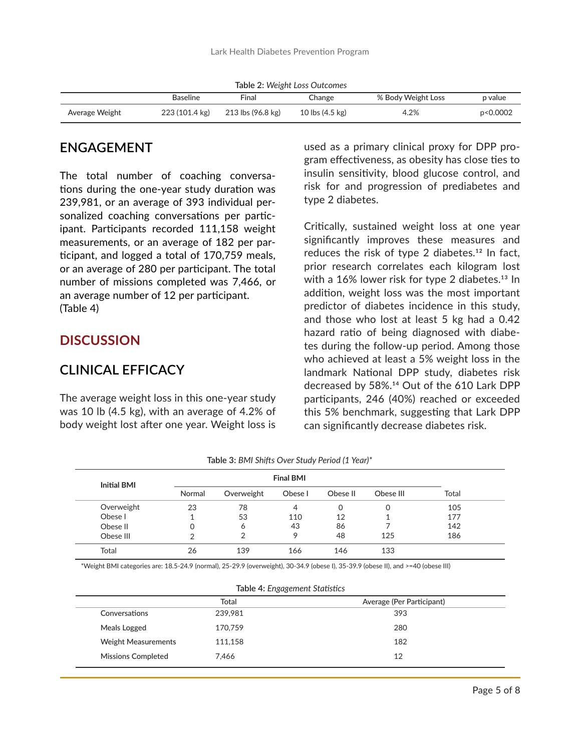|  |  |  | Table 2: Weight Loss Outcomes |
|--|--|--|-------------------------------|
|--|--|--|-------------------------------|

|                | <b>Baseline</b> | Final             | Change                    | % Body Weight Loss | p value  |
|----------------|-----------------|-------------------|---------------------------|--------------------|----------|
| Average Weight | 223 (101.4 kg)  | 213 lbs (96.8 kg) | 10 lbs $(4.5 \text{ kg})$ | 4.2%               | p<0.0002 |

#### **ENGAGEMENT**

The total number of coaching conversations during the one-year study duration was 239,981, or an average of 393 individual personalized coaching conversations per participant. Participants recorded 111,158 weight measurements, or an average of 182 per participant, and logged a total of 170,759 meals, or an average of 280 per participant. The total number of missions completed was 7,466, or an average number of 12 per participant. (Table 4)

#### **DISCUSSION**

#### **CLINICAL EFFICACY**

The average weight loss in this one-year study was 10 lb (4.5 kg), with an average of 4.2% of body weight lost after one year. Weight loss is

used as a primary clinical proxy for DPP program effectiveness, as obesity has close ties to insulin sensitivity, blood glucose control, and risk for and progression of prediabetes and type 2 diabetes.

Critically, sustained weight loss at one year significantly improves these measures and reduces the risk of type 2 diabetes.<sup>12</sup> In fact, prior research correlates each kilogram lost with a 16% lower risk for type 2 diabetes.<sup>13</sup> In addition, weight loss was the most important predictor of diabetes incidence in this study, and those who lost at least 5 kg had a 0.42 hazard ratio of being diagnosed with diabetes during the follow-up period. Among those who achieved at least a 5% weight loss in the landmark National DPP study, diabetes risk decreased by 58%.14 Out of the 610 Lark DPP participants, 246 (40%) reached or exceeded this 5% benchmark, suggesting that Lark DPP can significantly decrease diabetes risk.

| <b>Initial BMI</b><br>Normal |            | <b>Final BMI</b> |          |           |       |     |
|------------------------------|------------|------------------|----------|-----------|-------|-----|
|                              | Overweight | Obese I          | Obese II | Obese III | Total |     |
| Overweight                   | 23         | 78               | 4        | 0         | 0     | 105 |
| Obese I                      |            | 53               | 110      | 12        |       | 177 |
| Obese II                     | 0          | 6                | 43       | 86        |       | 142 |
| Obese III                    | っ          | っ                | 9        | 48        | 125   | 186 |
| Total                        | 26         | 139              | 166      | 146       | 133   |     |

**Table 3:** *BMI Shifts Over Study Period (1 Year)\**

\*Weight BMI categories are: 18.5-24.9 (normal), 25-29.9 (overweight), 30-34.9 (obese I), 35-39.9 (obese II), and >=40 (obese III)

**Table 4:** *Engagement Statistics*

|                            | Total   | Average (Per Participant) |
|----------------------------|---------|---------------------------|
| Conversations              | 239.981 | 393                       |
| Meals Logged               | 170,759 | 280                       |
| <b>Weight Measurements</b> | 111,158 | 182                       |
| <b>Missions Completed</b>  | 7.466   | 12                        |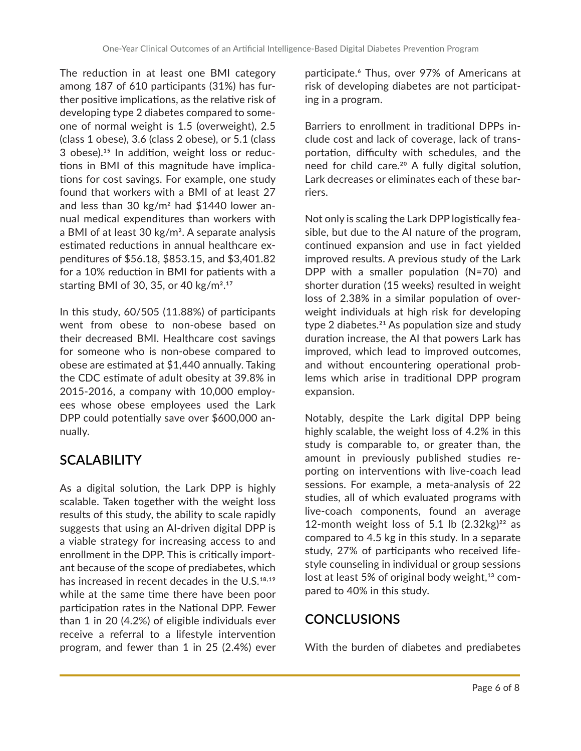The reduction in at least one BMI category among 187 of 610 participants (31%) has further positive implications, as the relative risk of developing type 2 diabetes compared to someone of normal weight is 1.5 (overweight), 2.5 (class 1 obese), 3.6 (class 2 obese), or 5.1 (class 3 obese).15 In addition, weight loss or reductions in BMI of this magnitude have implications for cost savings. For example, one study found that workers with a BMI of at least 27 and less than 30  $\text{kg/m}^2$  had \$1440 lower annual medical expenditures than workers with a BMI of at least 30 kg/m<sup>2</sup>. A separate analysis estimated reductions in annual healthcare expenditures of \$56.18, \$853.15, and \$3,401.82 for a 10% reduction in BMI for patients with a starting BMI of 30, 35, or 40 kg/m2.17

In this study, 60/505 (11.88%) of participants went from obese to non-obese based on their decreased BMI. Healthcare cost savings for someone who is non-obese compared to obese are estimated at \$1,440 annually. Taking the CDC estimate of adult obesity at 39.8% in 2015-2016, a company with 10,000 employees whose obese employees used the Lark DPP could potentially save over \$600,000 annually.

## **SCALABILITY**

As a digital solution, the Lark DPP is highly scalable. Taken together with the weight loss results of this study, the ability to scale rapidly suggests that using an AI-driven digital DPP is a viable strategy for increasing access to and enrollment in the DPP. This is critically important because of the scope of prediabetes, which has increased in recent decades in the U.S.<sup>18,19</sup> while at the same time there have been poor participation rates in the National DPP. Fewer than 1 in 20 (4.2%) of eligible individuals ever receive a referral to a lifestyle intervention program, and fewer than 1 in 25 (2.4%) ever

participate.<sup>6</sup> Thus, over 97% of Americans at risk of developing diabetes are not participating in a program.

Barriers to enrollment in traditional DPPs include cost and lack of coverage, lack of transportation, difficulty with schedules, and the need for child care.<sup>20</sup> A fully digital solution, Lark decreases or eliminates each of these barriers.

Not only is scaling the Lark DPP logistically feasible, but due to the AI nature of the program, continued expansion and use in fact yielded improved results. A previous study of the Lark DPP with a smaller population (N=70) and shorter duration (15 weeks) resulted in weight loss of 2.38% in a similar population of overweight individuals at high risk for developing type 2 diabetes.<sup>21</sup> As population size and study duration increase, the AI that powers Lark has improved, which lead to improved outcomes, and without encountering operational problems which arise in traditional DPP program expansion.

Notably, despite the Lark digital DPP being highly scalable, the weight loss of 4.2% in this study is comparable to, or greater than, the amount in previously published studies reporting on interventions with live-coach lead sessions. For example, a meta-analysis of 22 studies, all of which evaluated programs with live-coach components, found an average 12-month weight loss of 5.1 lb  $(2.32 \text{kg})^{22}$  as compared to 4.5 kg in this study. In a separate study, 27% of participants who received lifestyle counseling in individual or group sessions lost at least 5% of original body weight, $13$  compared to 40% in this study.

## **CONCLUSIONS**

With the burden of diabetes and prediabetes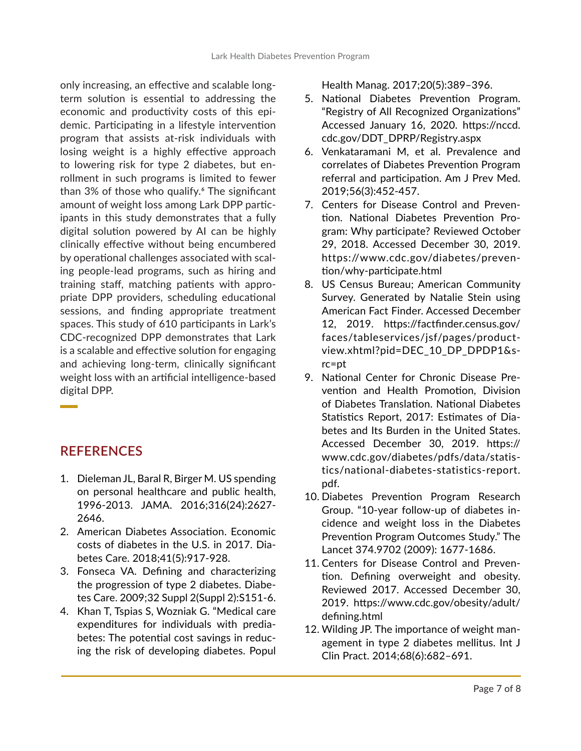only increasing, an effective and scalable longterm solution is essential to addressing the economic and productivity costs of this epidemic. Participating in a lifestyle intervention program that assists at-risk individuals with losing weight is a highly effective approach to lowering risk for type 2 diabetes, but enrollment in such programs is limited to fewer than 3% of those who qualify.<sup>6</sup> The significant amount of weight loss among Lark DPP participants in this study demonstrates that a fully digital solution powered by AI can be highly clinically effective without being encumbered by operational challenges associated with scaling people-lead programs, such as hiring and training staff, matching patients with appropriate DPP providers, scheduling educational sessions, and finding appropriate treatment spaces. This study of 610 participants in Lark's CDC-recognized DPP demonstrates that Lark is a scalable and effective solution for engaging and achieving long-term, clinically significant weight loss with an artificial intelligence-based digital DPP.

## **REFERENCES**

- 1. Dieleman JL, Baral R, Birger M. US spending on personal healthcare and public health, 1996-2013. JAMA. 2016;316(24):2627- 2646.
- 2. American Diabetes Association. Economic costs of diabetes in the U.S. in 2017. Diabetes Care. 2018;41(5):917-928.
- 3. Fonseca VA. Defining and characterizing the progression of type 2 diabetes. Diabetes Care. 2009;32 Suppl 2(Suppl 2):S151-6.
- 4. Khan T, Tspias S, Wozniak G. "Medical care expenditures for individuals with prediabetes: The potential cost savings in reducing the risk of developing diabetes. Popul

Health Manag. 2017;20(5):389–396.

- 5. National Diabetes Prevention Program. "Registry of All Recognized Organizations" Accessed January 16, 2020. https://nccd. cdc.gov/DDT\_DPRP/Registry.aspx
- 6. Venkataramani M, et al. Prevalence and correlates of Diabetes Prevention Program referral and participation. Am J Prev Med. 2019;56(3):452-457.
- 7. Centers for Disease Control and Prevention. National Diabetes Prevention Program: Why participate? Reviewed October 29, 2018. Accessed December 30, 2019. https://www.cdc.gov/diabetes/prevention/why-participate.html
- 8. US Census Bureau; American Community Survey. Generated by Natalie Stein using American Fact Finder. Accessed December 12, 2019. https://factfinder.census.gov/ faces/tableservices/jsf/pages/productview.xhtml?pid=DEC\_10\_DP\_DPDP1&src=pt
- 9. National Center for Chronic Disease Prevention and Health Promotion, Division of Diabetes Translation. National Diabetes Statistics Report, 2017: Estimates of Diabetes and Its Burden in the United States. Accessed December 30, 2019. https:// www.cdc.gov/diabetes/pdfs/data/statistics/national-diabetes-statistics-report. pdf.
- 10. Diabetes Prevention Program Research Group. "10-year follow-up of diabetes incidence and weight loss in the Diabetes Prevention Program Outcomes Study." The Lancet 374.9702 (2009): 1677-1686.
- 11. Centers for Disease Control and Prevention. Defining overweight and obesity. Reviewed 2017. Accessed December 30, 2019. https://www.cdc.gov/obesity/adult/ defining.html
- 12. Wilding JP. The importance of weight management in type 2 diabetes mellitus. Int J Clin Pract. 2014;68(6):682–691.